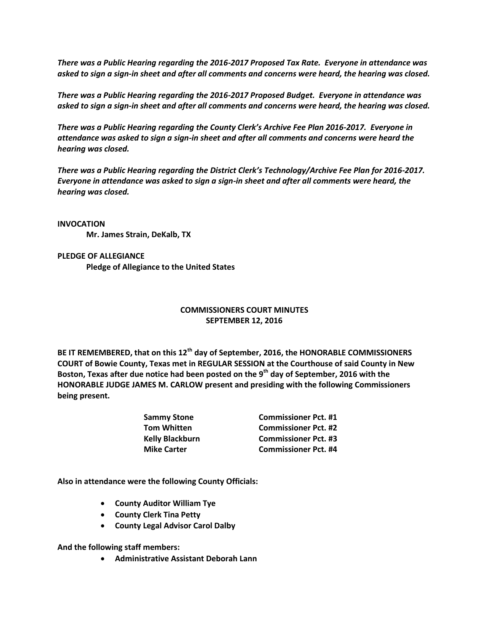*There was a Public Hearing regarding the 2016-2017 Proposed Tax Rate. Everyone in attendance was asked to sign a sign-in sheet and after all comments and concerns were heard, the hearing was closed.*

*There was a Public Hearing regarding the 2016-2017 Proposed Budget. Everyone in attendance was asked to sign a sign-in sheet and after all comments and concerns were heard, the hearing was closed.*

*There was a Public Hearing regarding the County Clerk's Archive Fee Plan 2016-2017. Everyone in attendance was asked to sign a sign-in sheet and after all comments and concerns were heard the hearing was closed.*

*There was a Public Hearing regarding the District Clerk's Technology/Archive Fee Plan for 2016-2017. Everyone in attendance was asked to sign a sign-in sheet and after all comments were heard, the hearing was closed.*

**INVOCATION Mr. James Strain, DeKalb, TX**

**PLEDGE OF ALLEGIANCE Pledge of Allegiance to the United States**

## **COMMISSIONERS COURT MINUTES SEPTEMBER 12, 2016**

**BE IT REMEMBERED, that on this 12th day of September, 2016, the HONORABLE COMMISSIONERS COURT of Bowie County, Texas met in REGULAR SESSION at the Courthouse of said County in New Boston, Texas after due notice had been posted on the 9 th day of September, 2016 with the HONORABLE JUDGE JAMES M. CARLOW present and presiding with the following Commissioners being present.**

| <b>Commissioner Pct. #1</b> |
|-----------------------------|
| <b>Commissioner Pct. #2</b> |
| <b>Commissioner Pct. #3</b> |
| <b>Commissioner Pct. #4</b> |
|                             |

**Also in attendance were the following County Officials:**

- **County Auditor William Tye**
- **County Clerk Tina Petty**
- **County Legal Advisor Carol Dalby**

**And the following staff members:**

**Administrative Assistant Deborah Lann**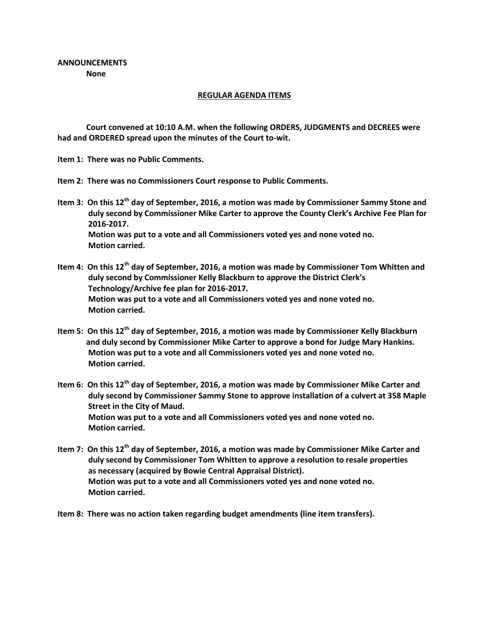## **REGULAR AGENDA ITEMS**

**Court convened at 10:10 A.M. when the following ORDERS, JUDGMENTS and DECREES were had and ORDERED spread upon the minutes of the Court to-wit.**

**Item 1: There was no Public Comments.**

- **Item 2: There was no Commissioners Court response to Public Comments.**
- **Item 3: On this 12th day of September, 2016, a motion was made by Commissioner Sammy Stone and duly second by Commissioner Mike Carter to approve the County Clerk's Archive Fee Plan for 2016-2017. Motion was put to a vote and all Commissioners voted yes and none voted no. Motion carried.**
- **Item 4: On this 12th day of September, 2016, a motion was made by Commissioner Tom Whitten and duly second by Commissioner Kelly Blackburn to approve the District Clerk's Technology/Archive fee plan for 2016-2017. Motion was put to a vote and all Commissioners voted yes and none voted no. Motion carried.**
- **Item 5: On this 12th day of September, 2016, a motion was made by Commissioner Kelly Blackburn and duly second by Commissioner Mike Carter to approve a bond for Judge Mary Hankins. Motion was put to a vote and all Commissioners voted yes and none voted no. Motion carried.**
- **Item 6: On this 12th day of September, 2016, a motion was made by Commissioner Mike Carter and duly second by Commissioner Sammy Stone to approve installation of a culvert at 358 Maple Street in the City of Maud. Motion was put to a vote and all Commissioners voted yes and none voted no. Motion carried.**
- **Item 7: On this 12th day of September, 2016, a motion was made by Commissioner Mike Carter and duly second by Commissioner Tom Whitten to approve a resolution to resale properties as necessary (acquired by Bowie Central Appraisal District). Motion was put to a vote and all Commissioners voted yes and none voted no. Motion carried.**
- **Item 8: There was no action taken regarding budget amendments (line item transfers).**